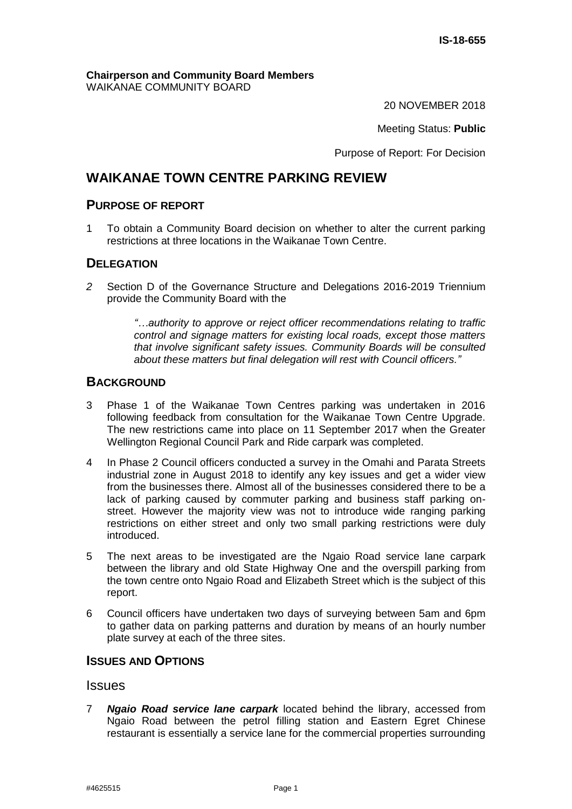#### **Chairperson and Community Board Members** WAIKANAE COMMUNITY BOARD

20 NOVEMBER 2018

Meeting Status: **Public**

Purpose of Report: For Decision

# **WAIKANAE TOWN CENTRE PARKING REVIEW**

# **PURPOSE OF REPORT**

1 To obtain a Community Board decision on whether to alter the current parking restrictions at three locations in the Waikanae Town Centre.

# **DELEGATION**

*2* Section D of the Governance Structure and Delegations 2016-2019 Triennium provide the Community Board with the

> *"…authority to approve or reject officer recommendations relating to traffic control and signage matters for existing local roads, except those matters that involve significant safety issues. Community Boards will be consulted about these matters but final delegation will rest with Council officers."*

## **BACKGROUND**

- 3 Phase 1 of the Waikanae Town Centres parking was undertaken in 2016 following feedback from consultation for the Waikanae Town Centre Upgrade. The new restrictions came into place on 11 September 2017 when the Greater Wellington Regional Council Park and Ride carpark was completed.
- 4 In Phase 2 Council officers conducted a survey in the Omahi and Parata Streets industrial zone in August 2018 to identify any key issues and get a wider view from the businesses there. Almost all of the businesses considered there to be a lack of parking caused by commuter parking and business staff parking onstreet. However the majority view was not to introduce wide ranging parking restrictions on either street and only two small parking restrictions were duly introduced.
- 5 The next areas to be investigated are the Ngaio Road service lane carpark between the library and old State Highway One and the overspill parking from the town centre onto Ngaio Road and Elizabeth Street which is the subject of this report.
- 6 Council officers have undertaken two days of surveying between 5am and 6pm to gather data on parking patterns and duration by means of an hourly number plate survey at each of the three sites.

## **ISSUES AND OPTIONS**

#### **Issues**

7 *Ngaio Road service lane carpark* located behind the library, accessed from Ngaio Road between the petrol filling station and Eastern Egret Chinese restaurant is essentially a service lane for the commercial properties surrounding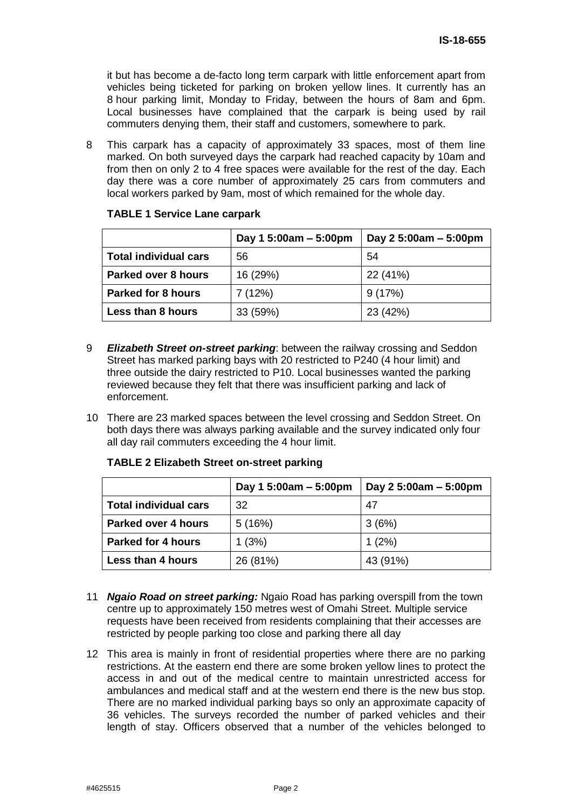it but has become a de-facto long term carpark with little enforcement apart from vehicles being ticketed for parking on broken yellow lines. It currently has an 8 hour parking limit, Monday to Friday, between the hours of 8am and 6pm. Local businesses have complained that the carpark is being used by rail commuters denying them, their staff and customers, somewhere to park.

8 This carpark has a capacity of approximately 33 spaces, most of them line marked. On both surveyed days the carpark had reached capacity by 10am and from then on only 2 to 4 free spaces were available for the rest of the day. Each day there was a core number of approximately 25 cars from commuters and local workers parked by 9am, most of which remained for the whole day.

|                              | Day 1 5:00am $-$ 5:00pm | Day 2 5:00am - 5:00pm |
|------------------------------|-------------------------|-----------------------|
| <b>Total individual cars</b> | 56                      | 54                    |
| Parked over 8 hours          | 16 (29%)                | 22 (41%)              |
| <b>Parked for 8 hours</b>    | 7(12%)                  | 9(17%)                |
| Less than 8 hours            | 33(59%)                 | 23 (42%)              |

#### **TABLE 1 Service Lane carpark**

- 9 *Elizabeth Street on-street parking*: between the railway crossing and Seddon Street has marked parking bays with 20 restricted to P240 (4 hour limit) and three outside the dairy restricted to P10. Local businesses wanted the parking reviewed because they felt that there was insufficient parking and lack of enforcement.
- 10 There are 23 marked spaces between the level crossing and Seddon Street. On both days there was always parking available and the survey indicated only four all day rail commuters exceeding the 4 hour limit.

|                              | Day 1 5:00am $-$ 5:00pm | Day $25:00am - 5:00pm$ |
|------------------------------|-------------------------|------------------------|
| <b>Total individual cars</b> | 32                      | 47                     |
| <b>Parked over 4 hours</b>   | 5(16%)                  | 3(6%)                  |
| <b>Parked for 4 hours</b>    | 1(3%)                   | 1(2%)                  |
| Less than 4 hours            | 26 (81%)                | 43 (91%)               |

#### **TABLE 2 Elizabeth Street on-street parking**

- 11 *Ngaio Road on street parking:* Ngaio Road has parking overspill from the town centre up to approximately 150 metres west of Omahi Street. Multiple service requests have been received from residents complaining that their accesses are restricted by people parking too close and parking there all day
- 12 This area is mainly in front of residential properties where there are no parking restrictions. At the eastern end there are some broken yellow lines to protect the access in and out of the medical centre to maintain unrestricted access for ambulances and medical staff and at the western end there is the new bus stop. There are no marked individual parking bays so only an approximate capacity of 36 vehicles. The surveys recorded the number of parked vehicles and their length of stay. Officers observed that a number of the vehicles belonged to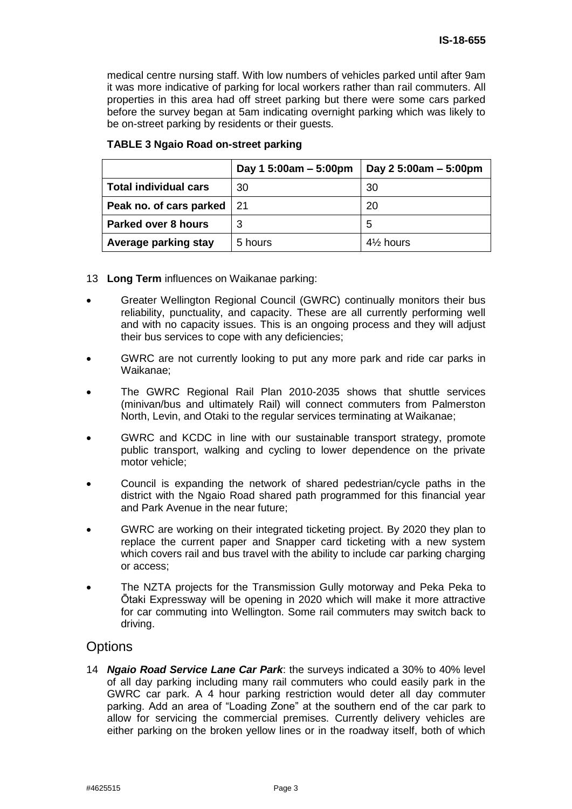medical centre nursing staff. With low numbers of vehicles parked until after 9am it was more indicative of parking for local workers rather than rail commuters. All properties in this area had off street parking but there were some cars parked before the survey began at 5am indicating overnight parking which was likely to be on-street parking by residents or their guests.

|                              | Day 1 5:00am $-$ 5:00pm | Day 2 5:00am - 5:00pm |
|------------------------------|-------------------------|-----------------------|
| <b>Total individual cars</b> | 30                      | 30                    |
| Peak no. of cars parked   21 |                         | 20                    |
| <b>Parked over 8 hours</b>   | 3                       | 5                     |
| Average parking stay         | 5 hours                 | $4\%$ hours           |

#### **TABLE 3 Ngaio Road on-street parking**

- 13 **Long Term** influences on Waikanae parking:
- Greater Wellington Regional Council (GWRC) continually monitors their bus reliability, punctuality, and capacity. These are all currently performing well and with no capacity issues. This is an ongoing process and they will adjust their bus services to cope with any deficiencies;
- GWRC are not currently looking to put any more park and ride car parks in Waikanae;
- The GWRC Regional Rail Plan 2010-2035 shows that shuttle services (minivan/bus and ultimately Rail) will connect commuters from Palmerston North, Levin, and Otaki to the regular services terminating at Waikanae;
- GWRC and KCDC in line with our sustainable transport strategy, promote public transport, walking and cycling to lower dependence on the private motor vehicle;
- Council is expanding the network of shared pedestrian/cycle paths in the district with the Ngaio Road shared path programmed for this financial year and Park Avenue in the near future;
- GWRC are working on their integrated ticketing project. By 2020 they plan to replace the current paper and Snapper card ticketing with a new system which covers rail and bus travel with the ability to include car parking charging or access;
- The NZTA projects for the Transmission Gully motorway and Peka Peka to Ōtaki Expressway will be opening in 2020 which will make it more attractive for car commuting into Wellington. Some rail commuters may switch back to driving.

## **Options**

14 *Ngaio Road Service Lane Car Park*: the surveys indicated a 30% to 40% level of all day parking including many rail commuters who could easily park in the GWRC car park. A 4 hour parking restriction would deter all day commuter parking. Add an area of "Loading Zone" at the southern end of the car park to allow for servicing the commercial premises. Currently delivery vehicles are either parking on the broken yellow lines or in the roadway itself, both of which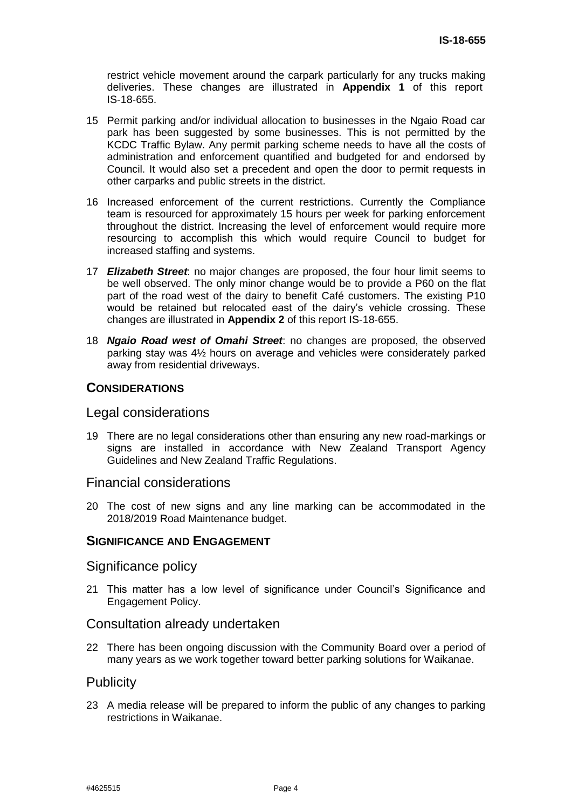restrict vehicle movement around the carpark particularly for any trucks making deliveries. These changes are illustrated in **Appendix 1** of this report IS-18-655.

- 15 Permit parking and/or individual allocation to businesses in the Ngaio Road car park has been suggested by some businesses. This is not permitted by the KCDC Traffic Bylaw. Any permit parking scheme needs to have all the costs of administration and enforcement quantified and budgeted for and endorsed by Council. It would also set a precedent and open the door to permit requests in other carparks and public streets in the district.
- 16 Increased enforcement of the current restrictions. Currently the Compliance team is resourced for approximately 15 hours per week for parking enforcement throughout the district. Increasing the level of enforcement would require more resourcing to accomplish this which would require Council to budget for increased staffing and systems.
- 17 *Elizabeth Street*: no major changes are proposed, the four hour limit seems to be well observed. The only minor change would be to provide a P60 on the flat part of the road west of the dairy to benefit Café customers. The existing P10 would be retained but relocated east of the dairy's vehicle crossing. These changes are illustrated in **Appendix 2** of this report IS-18-655.
- 18 *Ngaio Road west of Omahi Street*: no changes are proposed, the observed parking stay was 4½ hours on average and vehicles were considerately parked away from residential driveways.

## **CONSIDERATIONS**

#### Legal considerations

19 There are no legal considerations other than ensuring any new road-markings or signs are installed in accordance with New Zealand Transport Agency Guidelines and New Zealand Traffic Regulations.

## Financial considerations

20 The cost of new signs and any line marking can be accommodated in the 2018/2019 Road Maintenance budget.

#### **SIGNIFICANCE AND ENGAGEMENT**

#### Significance policy

21 This matter has a low level of significance under Council's Significance and Engagement Policy.

## Consultation already undertaken

22 There has been ongoing discussion with the Community Board over a period of many years as we work together toward better parking solutions for Waikanae.

## **Publicity**

23 A media release will be prepared to inform the public of any changes to parking restrictions in Waikanae.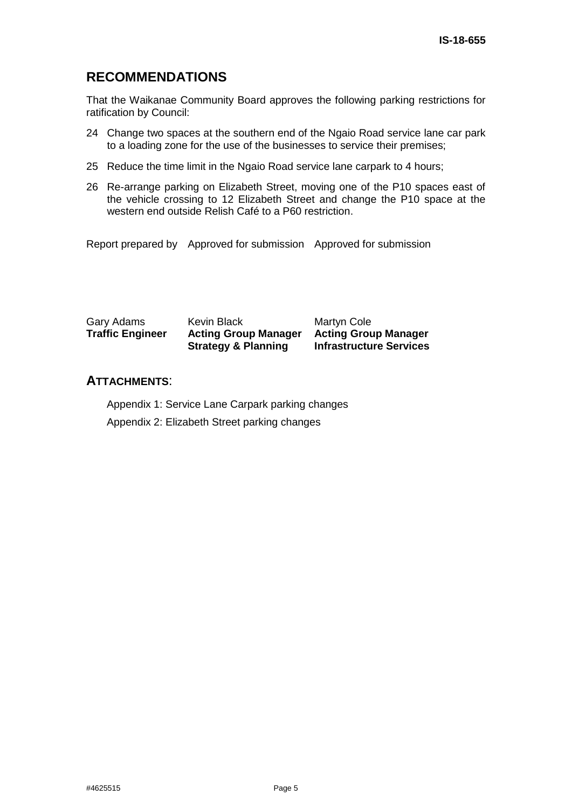# **RECOMMENDATIONS**

That the Waikanae Community Board approves the following parking restrictions for ratification by Council:

- 24 Change two spaces at the southern end of the Ngaio Road service lane car park to a loading zone for the use of the businesses to service their premises;
- 25 Reduce the time limit in the Ngaio Road service lane carpark to 4 hours;
- 26 Re-arrange parking on Elizabeth Street, moving one of the P10 spaces east of the vehicle crossing to 12 Elizabeth Street and change the P10 space at the western end outside Relish Café to a P60 restriction.

Report prepared by Approved for submission Approved for submission

| Gary Adams              | Kevin Black                    | Martyn Cole                    |
|-------------------------|--------------------------------|--------------------------------|
| <b>Traffic Engineer</b> | <b>Acting Group Manager</b>    | <b>Acting Group Manager</b>    |
|                         | <b>Strategy &amp; Planning</b> | <b>Infrastructure Services</b> |

#### **ATTACHMENTS**:

Appendix 1: Service Lane Carpark parking changes

Appendix 2: Elizabeth Street parking changes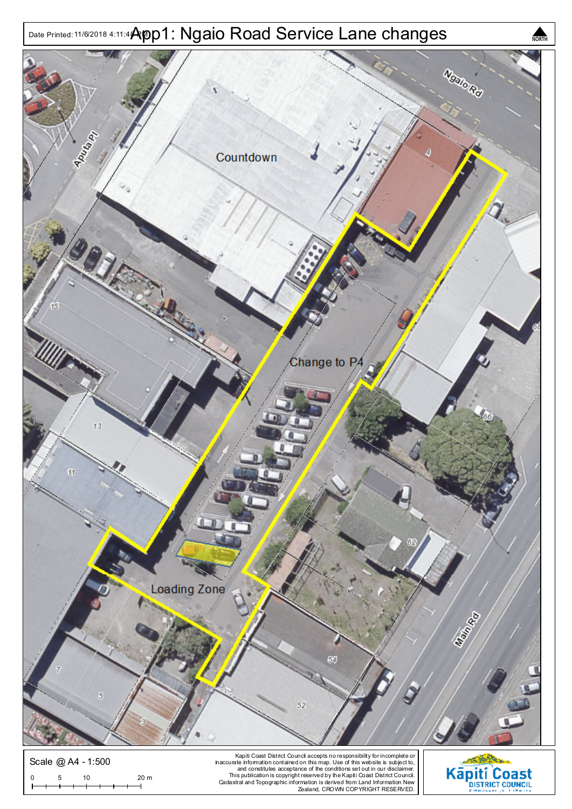



Kapiti Coast District Council accepts no responsibility for incomplete or<br>and constitutes acceptance of this map. Use of this website is subject to,<br>and constitutes acceptance of the conditions set out in our disclaimer.<br>2

Scale @ A4 - 1:500

0 5 10 20 m